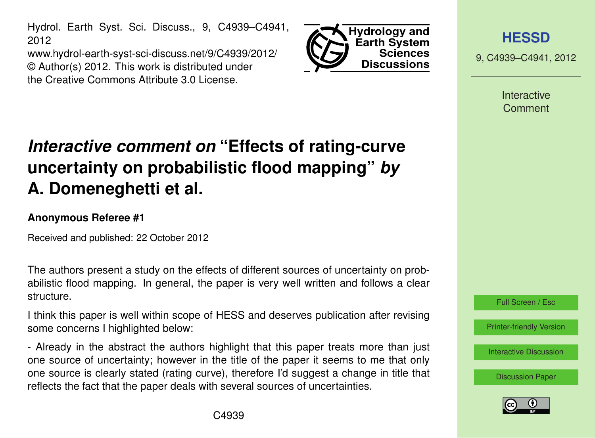Hydrol. Earth Syst. Sci. Discuss., 9, C4939–C4941, 2012

www.hydrol-earth-syst-sci-discuss.net/9/C4939/2012/ © Author(s) 2012. This work is distributed under the Creative Commons Attribute 3.0 License.



**[HESSD](http://www.hydrol-earth-syst-sci-discuss.net)**

9, C4939–C4941, 2012

**Interactive Comment** 

## *Interactive comment on* **"Effects of rating-curve uncertainty on probabilistic flood mapping"** *by* **A. Domeneghetti et al.**

## **Anonymous Referee #1**

Received and published: 22 October 2012

The authors present a study on the effects of different sources of uncertainty on probabilistic flood mapping. In general, the paper is very well written and follows a clear structure.

I think this paper is well within scope of HESS and deserves publication after revising some concerns I highlighted below:

- Already in the abstract the authors highlight that this paper treats more than just one source of uncertainty; however in the title of the paper it seems to me that only one source is clearly stated (rating curve), therefore I'd suggest a change in title that reflects the fact that the paper deals with several sources of uncertainties.

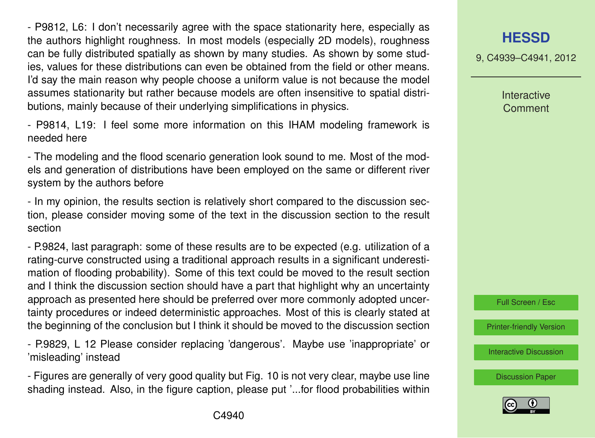- P9812, L6: I don't necessarily agree with the space stationarity here, especially as the authors highlight roughness. In most models (especially 2D models), roughness can be fully distributed spatially as shown by many studies. As shown by some studies, values for these distributions can even be obtained from the field or other means. I'd say the main reason why people choose a uniform value is not because the model assumes stationarity but rather because models are often insensitive to spatial distributions, mainly because of their underlying simplifications in physics.

- P9814, L19: I feel some more information on this IHAM modeling framework is needed here

- The modeling and the flood scenario generation look sound to me. Most of the models and generation of distributions have been employed on the same or different river system by the authors before

- In my opinion, the results section is relatively short compared to the discussion section, please consider moving some of the text in the discussion section to the result section

- P.9824, last paragraph: some of these results are to be expected (e.g. utilization of a rating-curve constructed using a traditional approach results in a significant underestimation of flooding probability). Some of this text could be moved to the result section and I think the discussion section should have a part that highlight why an uncertainty approach as presented here should be preferred over more commonly adopted uncertainty procedures or indeed deterministic approaches. Most of this is clearly stated at the beginning of the conclusion but I think it should be moved to the discussion section

- P.9829, L 12 Please consider replacing 'dangerous'. Maybe use 'inappropriate' or 'misleading' instead

- Figures are generally of very good quality but Fig. 10 is not very clear, maybe use line shading instead. Also, in the figure caption, please put '...for flood probabilities within 9, C4939–C4941, 2012

Interactive **Comment** 



[Printer-friendly Version](http://www.hydrol-earth-syst-sci-discuss.net/9/C4939/2012/hessd-9-C4939-2012-print.pdf)

[Interactive Discussion](http://www.hydrol-earth-syst-sci-discuss.net/9/9809/2012/hessd-9-9809-2012-discussion.html)

[Discussion Paper](http://www.hydrol-earth-syst-sci-discuss.net/9/9809/2012/hessd-9-9809-2012.pdf)